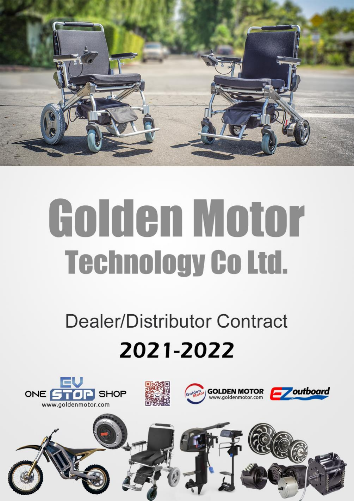

# Golden Motor **Technology Co Ltd.**

# **Dealer/Distributor Contract** 2021-2022

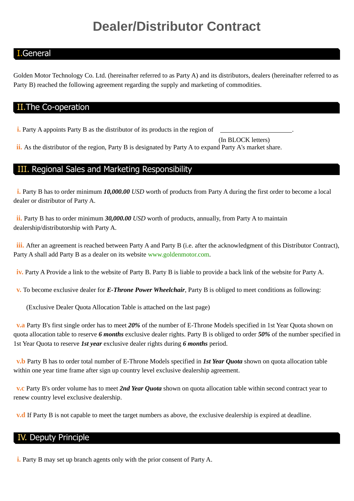## **Dealer/Distributor Contract**

#### I.General

Golden Motor Technology Co. Ltd. (hereinafter referred to as Party A) and its distributors, dealers (hereinafter referred to as Party B) reached the following agreement regarding the supply and marketing of commodities.

#### II.The Co-operation

**i.** Party A appoints Party B as the distributor of its products in the region of

(In BLOCK letters)

ii. As the distributor of the region, Party B is designated by Party A to expand Party A's market share.

#### III. Regional Sales and Marketing Responsibility

**i.** Party B has to order minimum **10,000.00** *USD* worth of products from Party A during the first order to become a local dealer or distributor of Party A.

**ii.** Party B has to order minimum *30,000.00 USD* worth of products, annually, from Party A to maintain dealership/distributorship with Party A.

**iii.** After an agreement is reached between Party A and Party B (i.e. after the acknowledgment of this Distributor Contract), Party A shall add Party B as a dealer on its website [www.goldenmotor.com.](http://www.goldenmotor.com/)

**iv.** Party A Provide a link to the website of Party B. Party B is liable to provide a back link of the website for Party A.

**v.** To become exclusive dealer for *E-Throne Power Wheelchair*, Party B is obliged to meet conditions as following:

(Exclusive Dealer Quota Allocation Table is attached on the last page)

**v.a** Party B's first single order has to meet *20%* of the number of E-Throne Models specified in 1st Year Quota shown on quota allocation table to reserve *6 months* exclusive dealer rights. Party B is obliged to order *50%* of the number specified in 1st Year Quota to reserve *1st year* exclusive dealer rights during *6 months* period.

**v.b** Party B has to order total number of E-Throne Models specified in *1st Year Quota* shown on quota allocation table within one year time frame after sign up country level exclusive dealership agreement.

**v.c** Party B's order volume has to meet *2nd Year Quota* shown on quota allocation table within second contract year to renew country level exclusive dealership.

**v.d** If Party B is not capable to meet the target numbers as above, the exclusive dealership is expired at deadline.

#### IV. Deputy Principle

**i.** Party B may set up branch agents only with the prior consent of Party A.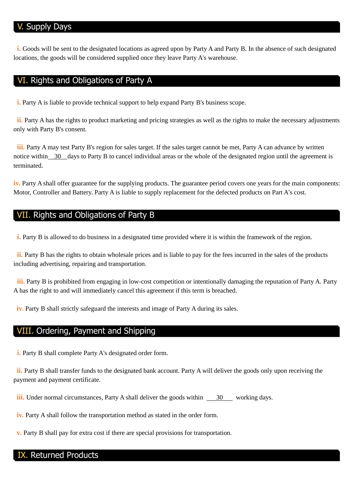#### Supply Days

**i.** Goods will be sent to the designated locations as agreed upon by Party A and Party B. In the absence of such designated locations, the goods will be considered supplied once they leave Party A's warehouse.

#### VI. Rights and Obligations of Party A

**i.** Party A is liable to provide technical support to help expand Party B's business scope.

**ii.** Party A has the rights to product marketing and pricing strategies as well as the rights to make the necessary adjustments only with Party B's consent.

**iii.** Party A may test Party B's region for sales target. If the sales target cannot be met, Party A can advance by written notice within 30 days to Party B to cancel individual areas or the whole of the designated region until the agreement is terminated.

**iv.** Party A shall offer guarantee for the supplying products. The guarantee period covers one years for the main components: Motor, Controller and Battery. Party A is liable to supply replacement for the defected products on Part A's cost.

#### VII. Rights and Obligations of Party B

**i.** Party B is allowed to do business in a designated time provided where it is within the framework of the region.

**ii.** Party B has the rights to obtain wholesale prices and is liable to pay for the fees incurred in the sales of the products including advertising, repairing and transportation.

**iii.** Party B is prohibited from engaging in low-cost competition or intentionally damaging the reputation of Party A. Party A has the right to and will immediately cancel this agreement if this term is breached.

**iv.** Party B shall strictly safeguard the interests and image of Party A during its sales.

#### VIII. Ordering, Payment and Shipping

**i.** Party B shall complete Party A's designated order form.

**ii.** Party B shall transfer funds to the designated bank account. Party A will deliver the goods only upon receiving the payment and payment certificate.

**iii.** Under normal circumstances, Party A shall deliver the goods within 30 working days.

**iv.** Party A shall follow the transportation method as stated in the order form.

**v.** Party B shall pay for extra cost if there are special provisions for transportation.

#### IX. Returned Products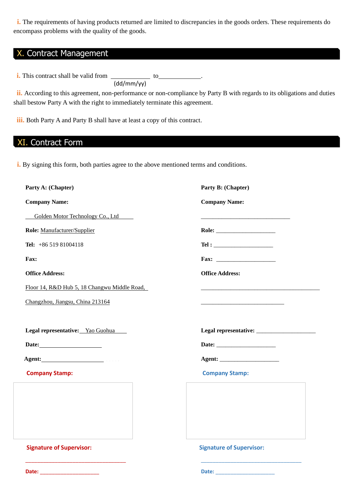**i.** The requirements of having products returned are limited to discrepancies in the goods orders. These requirements do encompass problems with the quality of the goods.

#### X. Contract Management

(dd/mm/yy) **i.** This contract shall be valid from \_\_\_\_\_\_\_\_\_\_\_\_\_ to \_\_\_\_\_\_\_\_\_\_\_\_.

ii. According to this agreement, non-performance or non-compliance by Party B with regards to its obligations and duties shall bestow Party A with the right to immediately terminate this agreement.

**iii.** Both Party A and Party B shall have at least a copy of this contract.

#### XI. Contract Form

**Date:** \_\_\_\_\_\_\_\_\_\_\_\_\_\_\_\_\_\_\_\_

**i.** By signing this form, both parties agree to the above mentioned terms and conditions.

| Party A: (Chapter)                           | Party B: (Chapter)                          |
|----------------------------------------------|---------------------------------------------|
| <b>Company Name:</b>                         | <b>Company Name:</b>                        |
| Golden Motor Technology Co., Ltd             |                                             |
| Role: Manufacturer/Supplier                  |                                             |
| Tel: $+8651981004118$                        | $\begin{tabular}{c} \bf Tel: \end{tabular}$ |
| Fax:                                         |                                             |
| <b>Office Address:</b>                       | <b>Office Address:</b>                      |
| Floor 14, R&D Hub 5, 18 Changwu Middle Road, |                                             |
| Changzhou, Jiangsu, China 213164             |                                             |
|                                              |                                             |
| Legal representative: Yao Guohua             |                                             |
|                                              |                                             |
|                                              |                                             |
| <b>Company Stamp:</b>                        | <b>Company Stamp:</b>                       |
|                                              |                                             |
|                                              |                                             |
|                                              |                                             |
|                                              |                                             |
| <b>Signature of Supervisor:</b>              | <b>Signature of Supervisor:</b>             |
|                                              |                                             |
|                                              |                                             |

**Date:** \_\_\_\_\_\_\_\_\_\_\_\_\_\_\_\_\_\_\_\_